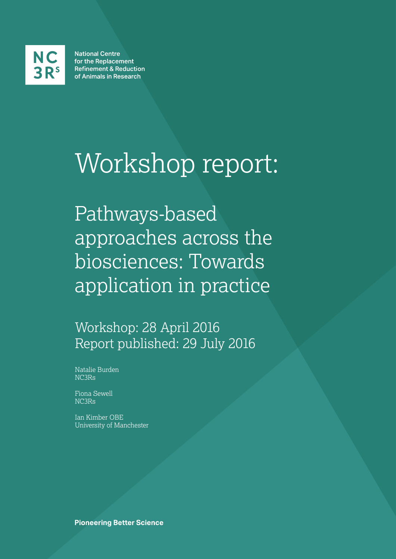

**National Centre** for the Replacement **Refinement & Reduction** of Animals in Research

# Workshop report:

Pathways-based approaches across the biosciences: Towards application in practice

Workshop: 28 April 2016 Report published: 29 July 2016

Natalie Burden NC3Rs

Fiona Sewell NC3Rs

Ian Kimber OBE University of Manchester

**Pioneering Better Science**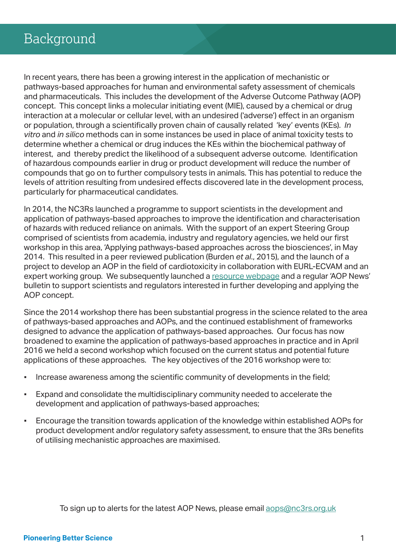In recent years, there has been a growing interest in the application of mechanistic or pathways-based approaches for human and environmental safety assessment of chemicals and pharmaceuticals. This includes the development of the Adverse Outcome Pathway (AOP) concept. This concept links a molecular initiating event (MIE), caused by a chemical or drug interaction at a molecular or cellular level, with an undesired ('adverse') effect in an organism or population, through a scientifically proven chain of causally related 'key' events (KEs). *In vitro* and *in silico* methods can in some instances be used in place of animal toxicity tests to determine whether a chemical or drug induces the KEs within the biochemical pathway of interest, and thereby predict the likelihood of a subsequent adverse outcome. Identification of hazardous compounds earlier in drug or product development will reduce the number of compounds that go on to further compulsory tests in animals. This has potential to reduce the levels of attrition resulting from undesired effects discovered late in the development process, particularly for pharmaceutical candidates.

In 2014, the NC3Rs launched a programme to support scientists in the development and application of pathways-based approaches to improve the identification and characterisation of hazards with reduced reliance on animals. With the support of an expert Steering Group comprised of scientists from academia, industry and regulatory agencies, we held our first workshop in this area, 'Applying pathways-based approaches across the biosciences', in May 2014. This resulted in a peer reviewed publication (Burden *et al*., 2015), and the launch of a project to develop an AOP in the field of cardiotoxicity in collaboration with EURL-ECVAM and an expert working group. We subsequently launched a resource webpage and a regular 'AOP News' bulletin to support scientists and regulators interested in further developing and applying the AOP concept.

Since the 2014 workshop there has been substantial progress in the science related to the area of pathways-based approaches and AOPs, and the continued establishment of frameworks designed to advance the application of pathways-based approaches. Our focus has now broadened to examine the application of pathways-based approaches in practice and in April 2016 we held a second workshop which focused on the current status and potential future applications of these approaches. The key objectives of the 2016 workshop were to:

- Increase awareness among the scientific community of developments in the field;
- Expand and consolidate the multidisciplinary community needed to accelerate the development and application of pathways-based approaches;
- Encourage the transition towards application of the knowledge within established AOPs for product development and/or regulatory safety assessment, to ensure that the 3Rs benefits of utilising mechanistic approaches are maximised.

To sign up to alerts for the latest AOP News, please email **aops@nc3rs.org.uk**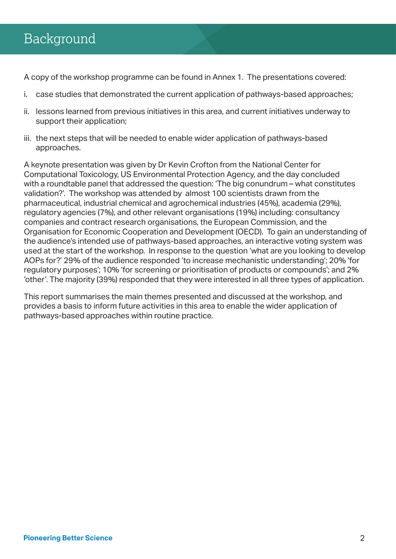### Background

A copy of the workshop programme can be found in Annex 1. The presentations covered:

- i. case studies that demonstrated the current application of pathways-based approaches;
- ii. lessons learned from previous initiatives in this area, and current initiatives underway to support their application;
- iii. the next steps that will be needed to enable wider application of pathways-based approaches.

A keynote presentation was given by Dr Kevin Crofton from the National Center for Computational Toxicology, US Environmental Protection Agency, and the day concluded with a roundtable panel that addressed the question: 'The big conundrum – what constitutes validation?'. The workshop was attended by almost 100 scientists drawn from the pharmaceutical, industrial chemical and agrochemical industries (45%), academia (29%), regulatory agencies (7%), and other relevant organisations (19%) including: consultancy companies and contract research organisations, the European Commission, and the Organisation for Economic Cooperation and Development (OECD). To gain an understanding of the audience's intended use of pathways-based approaches, an interactive voting system was used at the start of the workshop. In response to the question 'what are you looking to develop AOPs for?' 29% of the audience responded 'to increase mechanistic understanding'; 20% 'for regulatory purposes'; 10% 'for screening or prioritisation of products or compounds'; and 2% 'other'. The majority (39%) responded that they were interested in all three types of application.

This report summarises the main themes presented and discussed at the workshop, and provides a basis to inform future activities in this area to enable the wider application of pathways-based approaches within routine practice.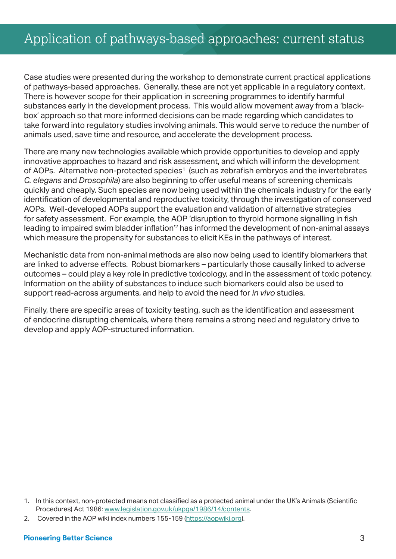### Application of pathways-based approaches: current status

Case studies were presented during the workshop to demonstrate current practical applications of pathways-based approaches. Generally, these are not yet applicable in a regulatory context. There is however scope for their application in screening programmes to identify harmful substances early in the development process. This would allow movement away from a 'blackbox' approach so that more informed decisions can be made regarding which candidates to take forward into regulatory studies involving animals. This would serve to reduce the number of animals used, save time and resource, and accelerate the development process.

There are many new technologies available which provide opportunities to develop and apply innovative approaches to hazard and risk assessment, and which will inform the development of AOPs. Alternative non-protected species<sup>1</sup> (such as zebrafish embryos and the invertebrates *C. elegans* and *Drosophila*) are also beginning to offer useful means of screening chemicals quickly and cheaply. Such species are now being used within the chemicals industry for the early identification of developmental and reproductive toxicity, through the investigation of conserved AOPs. Well-developed AOPs support the evaluation and validation of alternative strategies for safety assessment. For example, the AOP 'disruption to thyroid hormone signalling in fish leading to impaired swim bladder inflation'2 has informed the development of non-animal assays which measure the propensity for substances to elicit KEs in the pathways of interest.

Mechanistic data from non-animal methods are also now being used to identify biomarkers that are linked to adverse effects. Robust biomarkers – particularly those causally linked to adverse outcomes – could play a key role in predictive toxicology, and in the assessment of toxic potency. Information on the ability of substances to induce such biomarkers could also be used to support read-across arguments, and help to avoid the need for *in vivo* studies.

Finally, there are specific areas of toxicity testing, such as the identification and assessment of endocrine disrupting chemicals, where there remains a strong need and regulatory drive to develop and apply AOP-structured information.

<sup>1.</sup> In this context, non-protected means not classified as a protected animal under the UK's Animals (Scientific Procedures) Act 1986: www.legislation.gov.uk/ukpga/1986/14/contents.

<sup>2.</sup> Covered in the AOP wiki index numbers 155-159 (https://aopwiki.org).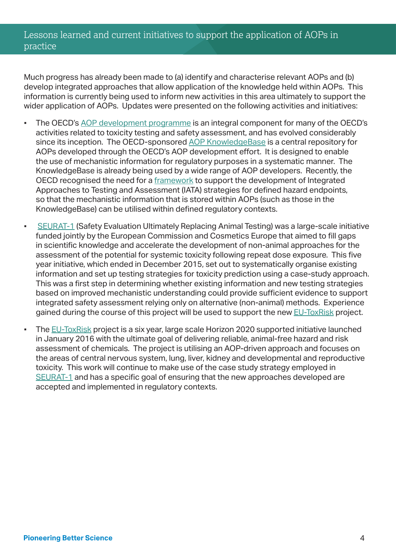#### Lessons learned and current initiatives to support the application of AOPs in practice

Much progress has already been made to (a) identify and characterise relevant AOPs and (b) develop integrated approaches that allow application of the knowledge held within AOPs. This information is currently being used to inform new activities in this area ultimately to support the wider application of AOPs. Updates were presented on the following activities and initiatives:

- The OECD's AOP development programme is an integral component for many of the OECD's activities related to toxicity testing and safety assessment, and has evolved considerably since its inception. The OECD-sponsored AOP KnowledgeBase is a central repository for AOPs developed through the OECD's AOP development effort. It is designed to enable the use of mechanistic information for regulatory purposes in a systematic manner. The KnowledgeBase is already being used by a wide range of AOP developers. Recently, the OECD recognised the need for a framework to support the development of Integrated Approaches to Testing and Assessment (IATA) strategies for defined hazard endpoints, so that the mechanistic information that is stored within AOPs (such as those in the KnowledgeBase) can be utilised within defined regulatory contexts.
- **EURAT-1 (Safety Evaluation Ultimately Replacing Animal Testing) was a large-scale initiative** funded jointly by the European Commission and Cosmetics Europe that aimed to fill gaps in scientific knowledge and accelerate the development of non-animal approaches for the assessment of the potential for systemic toxicity following repeat dose exposure. This five year initiative, which ended in December 2015, set out to systematically organise existing information and set up testing strategies for toxicity prediction using a case-study approach. This was a first step in determining whether existing information and new testing strategies based on improved mechanistic understanding could provide sufficient evidence to support integrated safety assessment relying only on alternative (non-animal) methods. Experience gained during the course of this project will be used to support the new EU-ToxRisk project.
- **•** The EU-ToxRisk project is a six year, large scale Horizon 2020 supported initiative launched in January 2016 with the ultimate goal of delivering reliable, animal-free hazard and risk assessment of chemicals. The project is utilising an AOP-driven approach and focuses on the areas of central nervous system, lung, liver, kidney and developmental and reproductive toxicity. This work will continue to make use of the case study strategy employed in SEURAT-1 and has a specific goal of ensuring that the new approaches developed are accepted and implemented in regulatory contexts.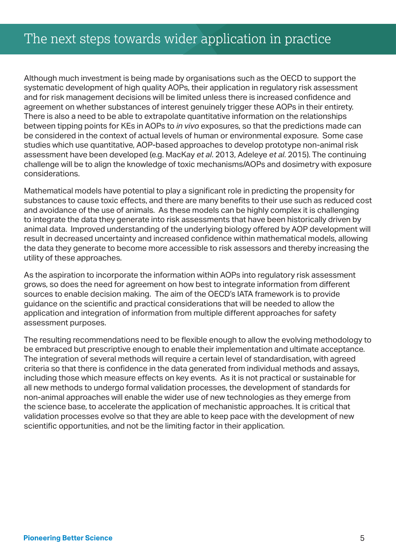Although much investment is being made by organisations such as the OECD to support the systematic development of high quality AOPs, their application in regulatory risk assessment and for risk management decisions will be limited unless there is increased confidence and agreement on whether substances of interest genuinely trigger these AOPs in their entirety. There is also a need to be able to extrapolate quantitative information on the relationships between tipping points for KEs in AOPs to *in vivo* exposures, so that the predictions made can be considered in the context of actual levels of human or environmental exposure. Some case studies which use quantitative, AOP-based approaches to develop prototype non-animal risk assessment have been developed (e.g. MacKay *et al*. 2013, Adeleye *et al*. 2015). The continuing challenge will be to align the knowledge of toxic mechanisms/AOPs and dosimetry with exposure considerations.

Mathematical models have potential to play a significant role in predicting the propensity for substances to cause toxic effects, and there are many benefits to their use such as reduced cost and avoidance of the use of animals. As these models can be highly complex it is challenging to integrate the data they generate into risk assessments that have been historically driven by animal data. Improved understanding of the underlying biology offered by AOP development will result in decreased uncertainty and increased confidence within mathematical models, allowing the data they generate to become more accessible to risk assessors and thereby increasing the utility of these approaches.

As the aspiration to incorporate the information within AOPs into regulatory risk assessment grows, so does the need for agreement on how best to integrate information from different sources to enable decision making. The aim of the OECD's IATA framework is to provide guidance on the scientific and practical considerations that will be needed to allow the application and integration of information from multiple different approaches for safety assessment purposes.

The resulting recommendations need to be flexible enough to allow the evolving methodology to be embraced but prescriptive enough to enable their implementation and ultimate acceptance. The integration of several methods will require a certain level of standardisation, with agreed criteria so that there is confidence in the data generated from individual methods and assays, including those which measure effects on key events. As it is not practical or sustainable for all new methods to undergo formal validation processes, the development of standards for non-animal approaches will enable the wider use of new technologies as they emerge from the science base, to accelerate the application of mechanistic approaches. It is critical that validation processes evolve so that they are able to keep pace with the development of new scientific opportunities, and not be the limiting factor in their application.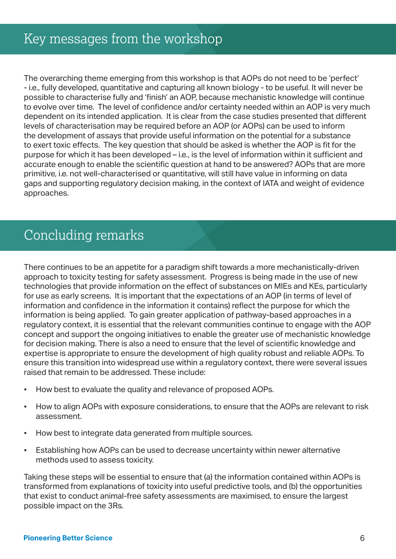The overarching theme emerging from this workshop is that AOPs do not need to be 'perfect' - i.e., fully developed, quantitative and capturing all known biology - to be useful. It will never be possible to characterise fully and 'finish' an AOP, because mechanistic knowledge will continue to evolve over time. The level of confidence and/or certainty needed within an AOP is very much dependent on its intended application. It is clear from the case studies presented that different levels of characterisation may be required before an AOP (or AOPs) can be used to inform the development of assays that provide useful information on the potential for a substance to exert toxic effects. The key question that should be asked is whether the AOP is fit for the purpose for which it has been developed – i.e., is the level of information within it sufficient and accurate enough to enable the scientific question at hand to be answered? AOPs that are more primitive, i.e. not well-characterised or quantitative, will still have value in informing on data gaps and supporting regulatory decision making, in the context of IATA and weight of evidence approaches.

### Concluding remarks

There continues to be an appetite for a paradigm shift towards a more mechanistically-driven approach to toxicity testing for safety assessment. Progress is being made in the use of new technologies that provide information on the effect of substances on MIEs and KEs, particularly for use as early screens. It is important that the expectations of an AOP (in terms of level of information and confidence in the information it contains) reflect the purpose for which the information is being applied. To gain greater application of pathway-based approaches in a regulatory context, it is essential that the relevant communities continue to engage with the AOP concept and support the ongoing initiatives to enable the greater use of mechanistic knowledge for decision making. There is also a need to ensure that the level of scientific knowledge and expertise is appropriate to ensure the development of high quality robust and reliable AOPs. To ensure this transition into widespread use within a regulatory context, there were several issues raised that remain to be addressed. These include:

- How best to evaluate the quality and relevance of proposed AOPs.
- How to align AOPs with exposure considerations, to ensure that the AOPs are relevant to risk assessment.
- How best to integrate data generated from multiple sources.
- **Establishing how AOPs can be used to decrease uncertainty within newer alternative** methods used to assess toxicity.

Taking these steps will be essential to ensure that (a) the information contained within AOPs is transformed from explanations of toxicity into useful predictive tools, and (b) the opportunities that exist to conduct animal-free safety assessments are maximised, to ensure the largest possible impact on the 3Rs.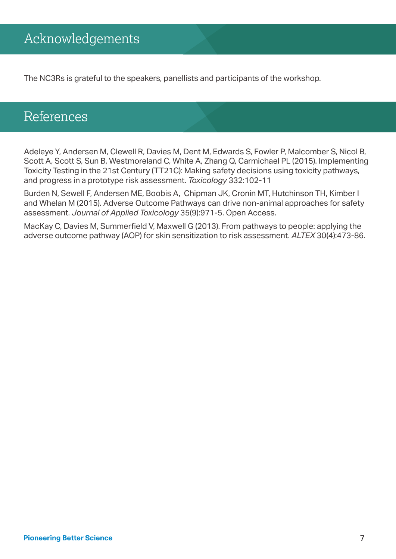The NC3Rs is grateful to the speakers, panellists and participants of the workshop.

### References

Adeleye Y, Andersen M, Clewell R, Davies M, Dent M, Edwards S, Fowler P, Malcomber S, Nicol B, Scott A, Scott S, Sun B, Westmoreland C, White A, Zhang Q, Carmichael PL (2015). Implementing Toxicity Testing in the 21st Century (TT21C): Making safety decisions using toxicity pathways, and progress in a prototype risk assessment. *Toxicology* 332:102-11

Burden N, Sewell F, Andersen ME, Boobis A, Chipman JK, Cronin MT, Hutchinson TH, Kimber I and Whelan M (2015). Adverse Outcome Pathways can drive non-animal approaches for safety assessment. *Journal of Applied Toxicology* 35(9):971-5. Open Access.

MacKay C, Davies M, Summerfield V, Maxwell G (2013). From pathways to people: applying the adverse outcome pathway (AOP) for skin sensitization to risk assessment. *ALTEX* 30(4):473-86.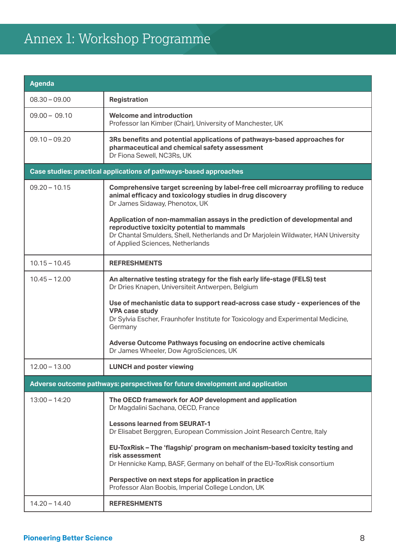## Annex 1: Workshop Programme

| <b>Agenda</b>                                                                 |                                                                                                                                                                                                                                                    |  |
|-------------------------------------------------------------------------------|----------------------------------------------------------------------------------------------------------------------------------------------------------------------------------------------------------------------------------------------------|--|
| $08.30 - 09.00$                                                               | <b>Registration</b>                                                                                                                                                                                                                                |  |
| $09.00 - 09.10$                                                               | <b>Welcome and introduction</b><br>Professor Ian Kimber (Chair), University of Manchester, UK                                                                                                                                                      |  |
| $09.10 - 09.20$                                                               | 3Rs benefits and potential applications of pathways-based approaches for<br>pharmaceutical and chemical safety assessment<br>Dr Fiona Sewell, NC3Rs, UK                                                                                            |  |
| Case studies: practical applications of pathways-based approaches             |                                                                                                                                                                                                                                                    |  |
| $09.20 - 10.15$                                                               | Comprehensive target screening by label-free cell microarray profiling to reduce<br>animal efficacy and toxicology studies in drug discovery<br>Dr James Sidaway, Phenotox, UK                                                                     |  |
|                                                                               | Application of non-mammalian assays in the prediction of developmental and<br>reproductive toxicity potential to mammals<br>Dr Chantal Smulders, Shell, Netherlands and Dr Marjolein Wildwater, HAN University<br>of Applied Sciences, Netherlands |  |
| $10.15 - 10.45$                                                               | <b>REFRESHMENTS</b>                                                                                                                                                                                                                                |  |
| $10.45 - 12.00$                                                               | An alternative testing strategy for the fish early life-stage (FELS) test<br>Dr Dries Knapen, Universiteit Antwerpen, Belgium                                                                                                                      |  |
|                                                                               | Use of mechanistic data to support read-across case study - experiences of the<br><b>VPA case study</b><br>Dr Sylvia Escher, Fraunhofer Institute for Toxicology and Experimental Medicine,<br>Germany                                             |  |
|                                                                               | Adverse Outcome Pathways focusing on endocrine active chemicals<br>Dr James Wheeler, Dow AgroSciences, UK                                                                                                                                          |  |
| $12.00 - 13.00$                                                               | <b>LUNCH and poster viewing</b>                                                                                                                                                                                                                    |  |
| Adverse outcome pathways: perspectives for future development and application |                                                                                                                                                                                                                                                    |  |
| $13:00 - 14:20$                                                               | The OECD framework for AOP development and application<br>Dr Magdalini Sachana, OECD, France                                                                                                                                                       |  |
|                                                                               | <b>Lessons learned from SEURAT-1</b><br>Dr Elisabet Berggren, European Commission Joint Research Centre, Italy                                                                                                                                     |  |
|                                                                               | EU-ToxRisk - The 'flagship' program on mechanism-based toxicity testing and<br>risk assessment<br>Dr Hennicke Kamp, BASF, Germany on behalf of the EU-ToxRisk consortium                                                                           |  |
|                                                                               | Perspective on next steps for application in practice<br>Professor Alan Boobis, Imperial College London, UK                                                                                                                                        |  |
| $14.20 - 14.40$                                                               | <b>REFRESHMENTS</b>                                                                                                                                                                                                                                |  |